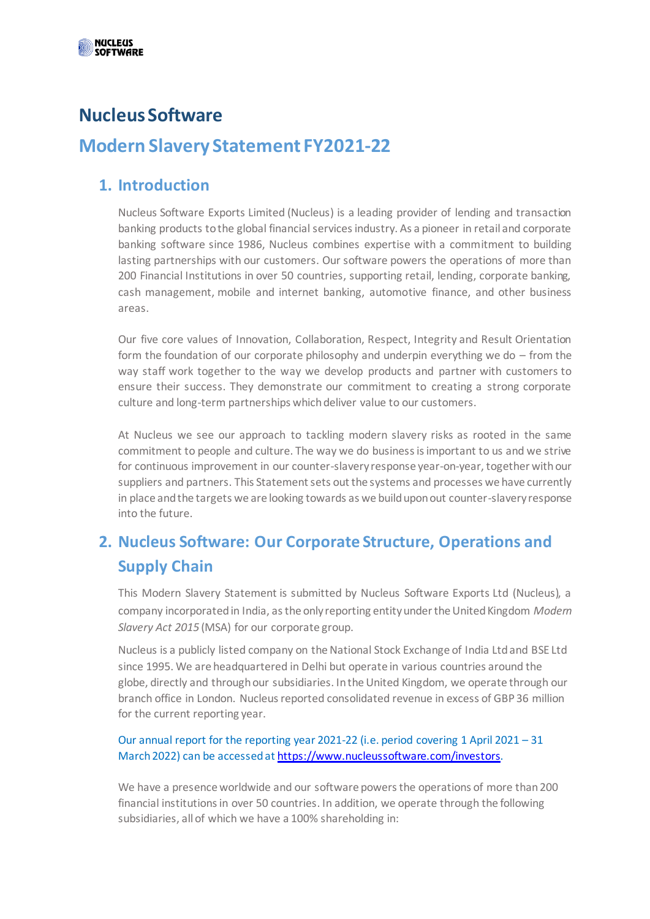

# **Nucleus Software**

## **Modern Slavery Statement FY2021-22**

### **1. Introduction**

Nucleus Software Exports Limited (Nucleus) is a leading provider of lending and transaction banking products to the global financial services industry. As a pioneer in retail and corporate banking software since 1986, Nucleus combines expertise with a commitment to building lasting partnerships with our customers. Our software powers the operations of more than 200 Financial Institutions in over 50 countries, supporting retail, lending, corporate banking, cash management, mobile and internet banking, automotive finance, and other business areas.

Our five core values of Innovation, Collaboration, Respect, Integrity and Result Orientation form the foundation of our corporate philosophy and underpin everything we do  $-$  from the way staff work together to the way we develop products and partner with customers to ensure their success. They demonstrate our commitment to creating a strong corporate culture and long-term partnerships which deliver value to our customers.

At Nucleus we see our approach to tackling modern slavery risks as rooted in the same commitment to people and culture. The way we do business is important to us and we strive for continuous improvement in our counter-slavery response year-on-year, together with our suppliers and partners. This Statement sets out the systems and processes we have currently in place and the targets we are looking towards as we build upon out counter-slavery response into the future.

# **2. Nucleus Software: Our Corporate Structure, Operations and Supply Chain**

This Modern Slavery Statement is submitted by Nucleus Software Exports Ltd (Nucleus), a company incorporated in India, as the only reporting entity under the United Kingdom *Modern Slavery Act 2015* (MSA) for our corporate group.

Nucleus is a publicly listed company on the National Stock Exchange of India Ltd and BSE Ltd since 1995. We are headquartered in Delhi but operate in various countries around the globe, directly and through our subsidiaries. In the United Kingdom, we operate through our branch office in London. Nucleus reported consolidated revenue in excess of GBP 36 million for the current reporting year.

#### Our annual report for the reporting year 2021-22 (i.e. period covering 1 April 2021 – 31 March 2022) can be accessed a[t https://www.nucleussoftware.com/investors](https://www.nucleussoftware.com/investors).

We have a presence worldwide and our software powers the operations of more than 200 financial institutions in over 50 countries. In addition, we operate through the following subsidiaries, all of which we have a 100% shareholding in: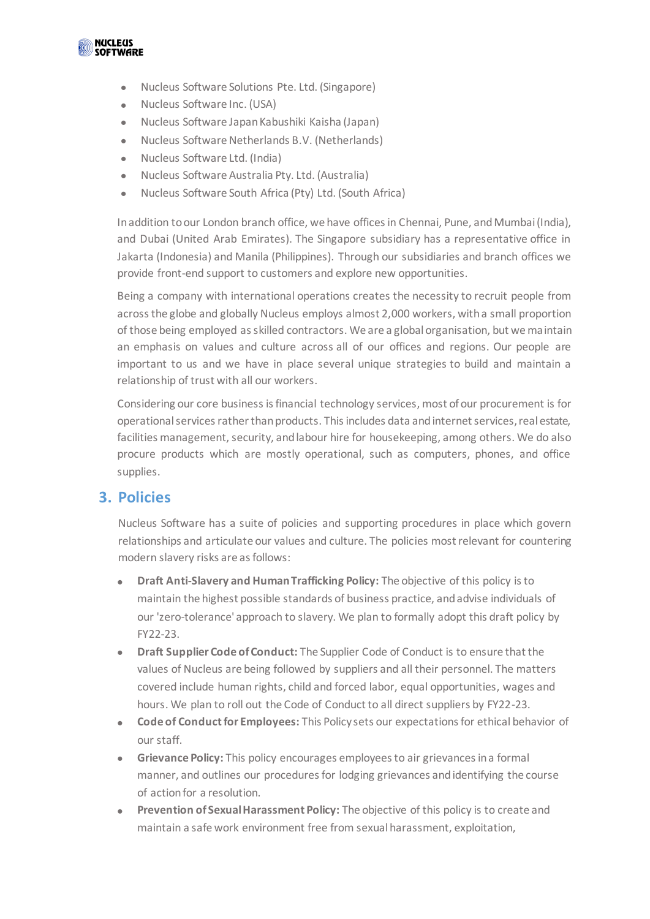

- Nucleus Software Solutions Pte. Ltd. (Singapore)
- Nucleus Software Inc. (USA)
- Nucleus Software Japan Kabushiki Kaisha (Japan)
- Nucleus Software Netherlands B.V. (Netherlands)
- Nucleus Software Ltd. (India)
- Nucleus Software Australia Pty. Ltd. (Australia)
- Nucleus Software South Africa (Pty) Ltd. (South Africa)

In addition to our London branch office, we have offices in Chennai, Pune, and Mumbai (India), and Dubai (United Arab Emirates). The Singapore subsidiary has a representative office in Jakarta (Indonesia) and Manila (Philippines). Through our subsidiaries and branch offices we provide front-end support to customers and explore new opportunities.

Being a company with international operations creates the necessity to recruit people from across the globe and globally Nucleus employs almost 2,000 workers, with a small proportion of those being employed as skilled contractors. We are a global organisation, but we maintain an emphasis on values and culture across all of our offices and regions. Our people are important to us and we have in place several unique strategies to build and maintain a relationship of trust with all our workers.

Considering our core business is financial technology services, most of our procurement is for operational services rather than products. This includes data and internet services, real estate, facilities management, security, and labour hire for housekeeping, among others. We do also procure products which are mostly operational, such as computers, phones, and office supplies.

### **3. Policies**

Nucleus Software has a suite of policies and supporting procedures in place which govern relationships and articulate our values and culture. The policies most relevant for countering modern slavery risks are as follows:

- **Draft Anti-Slavery and Human Trafficking Policy:** The objective of this policy is to maintain the highest possible standards of business practice, and advise individuals of our 'zero-tolerance' approach to slavery. We plan to formally adopt this draft policy by FY22-23.
- **Draft Supplier Code of Conduct:** The Supplier Code of Conduct is to ensure that the values of Nucleus are being followed by suppliers and all their personnel. The matters covered include human rights, child and forced labor, equal opportunities, wages and hours. We plan to roll out the Code of Conduct to all direct suppliers by FY22-23.
- **Code of Conduct for Employees:** This Policy sets our expectations for ethical behavior of our staff.
- **Grievance Policy:** This policy encourages employees to air grievances in a formal manner, and outlines our procedures for lodging grievances and identifying the course of action for a resolution.
- **Prevention of Sexual Harassment Policy:** The objective of this policy is to create and maintain a safe work environment free from sexual harassment, exploitation,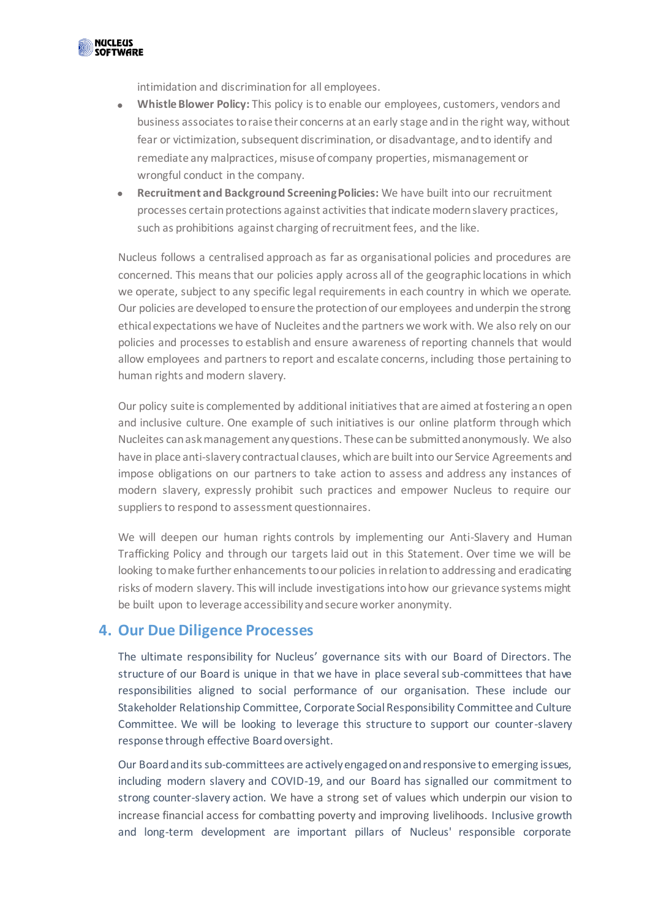**NUCLEUS SOFTWARE** 

intimidation and discrimination for all employees.

- **Whistle Blower Policy:** This policy is to enable our employees, customers, vendors and business associates to raise their concerns at an early stage and in the right way, without fear or victimization, subsequent discrimination, or disadvantage, and to identify and remediate any malpractices, misuse of company properties, mismanagement or wrongful conduct in the company.
- **Recruitment and Background Screening Policies:** We have built into our recruitment processes certain protections against activities that indicate modern slavery practices, such as prohibitions against charging of recruitment fees, and the like.

Nucleus follows a centralised approach as far as organisational policies and procedures are concerned. This means that our policies apply across all of the geographic locations in which we operate, subject to any specific legal requirements in each country in which we operate. Our policies are developed to ensure the protection of our employees and underpin the strong ethical expectations we have of Nucleites and the partners we work with. We also rely on our policies and processes to establish and ensure awareness of reporting channels that would allow employees and partners to report and escalate concerns, including those pertaining to human rights and modern slavery.

Our policy suite is complemented by additional initiatives that are aimed at fostering an open and inclusive culture. One example of such initiatives is our online platform through which Nucleites can ask management any questions. These can be submitted anonymously. We also have in place anti-slavery contractual clauses, which are built into our Service Agreements and impose obligations on our partners to take action to assess and address any instances of modern slavery, expressly prohibit such practices and empower Nucleus to require our suppliers to respond to assessment questionnaires.

We will deepen our human rights controls by implementing our Anti-Slavery and Human Trafficking Policy and through our targets laid out in this Statement. Over time we will be looking to make further enhancements to our policies in relation to addressing and eradicating risks of modern slavery. This will include investigations into how our grievance systems might be built upon to leverage accessibility and secure worker anonymity.

#### **4. Our Due Diligence Processes**

The ultimate responsibility for Nucleus' governance sits with our Board of Directors. The structure of our Board is unique in that we have in place several sub-committees that have responsibilities aligned to social performance of our organisation. These include our Stakeholder Relationship Committee, Corporate Social Responsibility Committee and Culture Committee. We will be looking to leverage this structure to support our counter-slavery response through effective Board oversight.

Our Board and its sub-committees are actively engaged on and responsive to emerging issues, including modern slavery and COVID-19, and our Board has signalled our commitment to strong counter-slavery action. We have a strong set of values which underpin our vision to increase financial access for combatting poverty and improving livelihoods. Inclusive growth and long-term development are important pillars of Nucleus' responsible corporate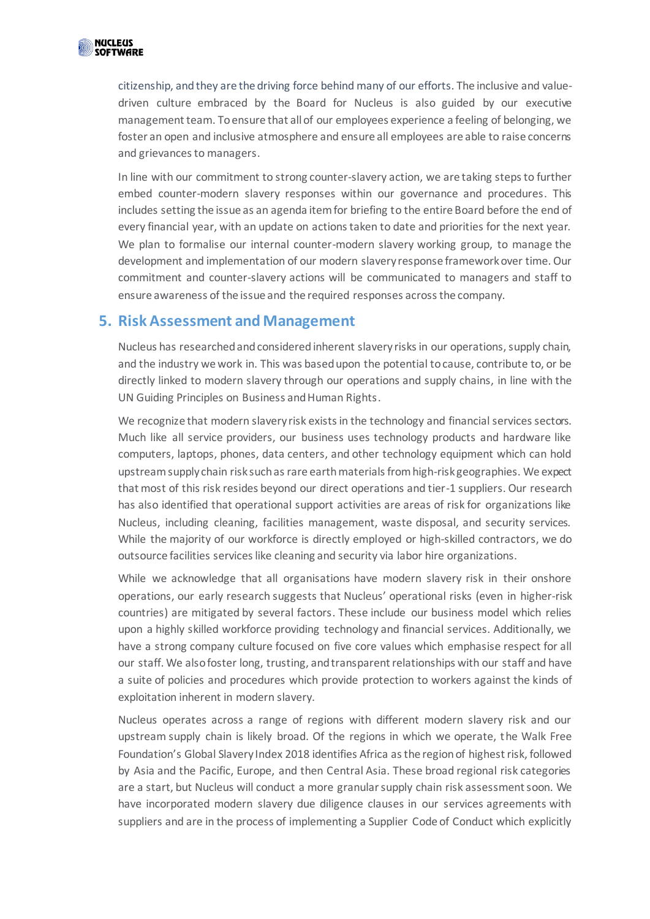

citizenship, and they are the driving force behind many of our efforts. The inclusive and valuedriven culture embraced by the Board for Nucleus is also guided by our executive management team. To ensure that all of our employees experience a feeling of belonging, we foster an open and inclusive atmosphere and ensure all employees are able to raise concerns and grievances to managers.

In line with our commitment to strong counter-slavery action, we are taking steps to further embed counter-modern slavery responses within our governance and procedures. This includes setting the issue as an agenda item for briefing to the entire Board before the end of every financial year, with an update on actions taken to date and priorities for the next year. We plan to formalise our internal counter-modern slavery working group, to manage the development and implementation of our modern slavery response framework over time. Our commitment and counter-slavery actions will be communicated to managers and staff to ensure awareness of the issue and the required responses across the company.

#### **5. Risk Assessment and Management**

Nucleus has researched and considered inherent slavery risks in our operations, supply chain, and the industry we work in. This was based upon the potential to cause, contribute to, or be directly linked to modern slavery through our operations and supply chains, in line with the UN Guiding Principles on Business and Human Rights.

We recognize that modern slavery risk exists in the technology and financial services sectors. Much like all service providers, our business uses technology products and hardware like computers, laptops, phones, data centers, and other technology equipment which can hold upstream supply chain risk such as rare earth materials from high-risk geographies. We expect that most of this risk resides beyond our direct operations and tier-1 suppliers. Our research has also identified that operational support activities are areas of risk for organizations like Nucleus, including cleaning, facilities management, waste disposal, and security services. While the majority of our workforce is directly employed or high-skilled contractors, we do outsource facilities services like cleaning and security via labor hire organizations.

While we acknowledge that all organisations have modern slavery risk in their onshore operations, our early research suggests that Nucleus' operational risks (even in higher-risk countries) are mitigated by several factors. These include our business model which relies upon a highly skilled workforce providing technology and financial services. Additionally, we have a strong company culture focused on five core values which emphasise respect for all our staff. We also foster long, trusting, and transparent relationships with our staff and have a suite of policies and procedures which provide protection to workers against the kinds of exploitation inherent in modern slavery.

Nucleus operates across a range of regions with different modern slavery risk and our upstream supply chain is likely broad. Of the regions in which we operate, the Walk Free Foundation's Global Slavery Index 2018 identifies Africa as the region of highest risk, followed by Asia and the Pacific, Europe, and then Central Asia. These broad regional risk categories are a start, but Nucleus will conduct a more granular supply chain risk assessment soon. We have incorporated modern slavery due diligence clauses in our services agreements with suppliers and are in the process of implementing a Supplier Code of Conduct which explicitly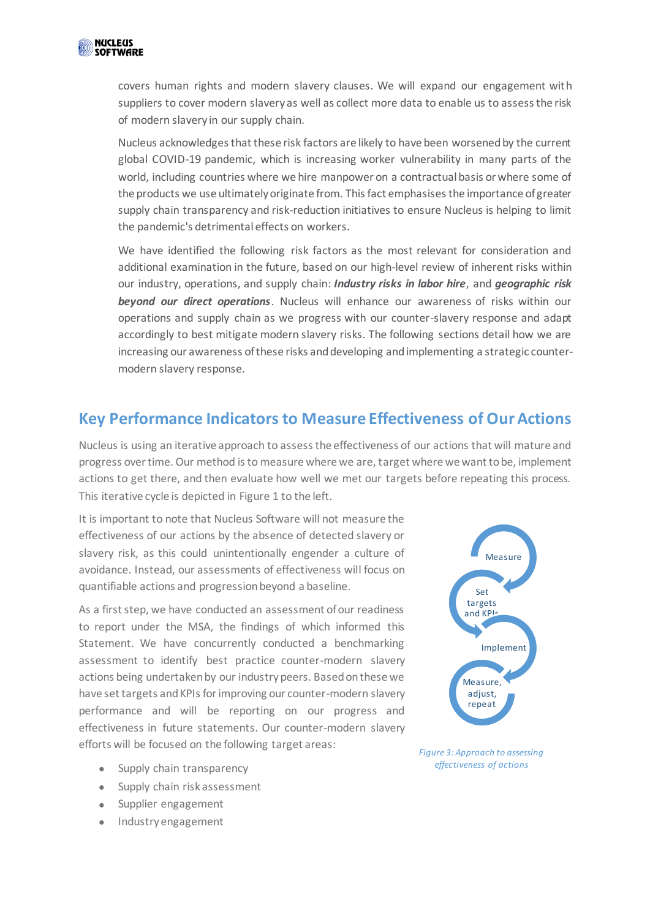

covers human rights and modern slavery clauses. We will expand our engagement with suppliers to cover modern slavery as well as collect more data to enable us to assess the risk of modern slavery in our supply chain.

Nucleus acknowledgesthat these risk factors are likely to have been worsened by the current global COVID-19 pandemic, which is increasing worker vulnerability in many parts of the world, including countries where we hire manpower on a contractual basis or where some of the products we use ultimately originate from. This fact emphasises the importance of greater supply chain transparency and risk-reduction initiatives to ensure Nucleus is helping to limit the pandemic's detrimental effects on workers.

We have identified the following risk factors as the most relevant for consideration and additional examination in the future, based on our high-level review of inherent risks within our industry, operations, and supply chain: *Industry risks in labor hire*, and *geographic risk beyond our direct operations*. Nucleus will enhance our awareness of risks within our operations and supply chain as we progress with our counter-slavery response and adapt accordingly to best mitigate modern slavery risks. The following sections detail how we are increasing our awareness of these risks and developing and implementing a strategic countermodern slavery response.

### **Key Performance Indicators to Measure Effectiveness of Our Actions**

Nucleus is using an iterative approach to assess the effectiveness of our actions that will mature and progress over time. Our method is to measure where we are, target where we want to be, implement actions to get there, and then evaluate how well we met our targets before repeating this process. This iterative cycle is depicted in Figure 1 to the left.

It is important to note that Nucleus Software will not measure the effectiveness of our actions by the absence of detected slavery or slavery risk, as this could unintentionally engender a culture of avoidance. Instead, our assessments of effectiveness will focus on quantifiable actions and progression beyond a baseline.

As a first step, we have conducted an assessment of our readiness to report under the MSA, the findings of which informed this Statement. We have concurrently conducted a benchmarking assessment to identify best practice counter-modern slavery actions being undertaken by our industry peers. Based on these we have set targets and KPIs for improving our counter-modern slavery performance and will be reporting on our progress and effectiveness in future statements. Our counter-modern slavery efforts will be focused on the following target areas:

- Supply chain transparency
- Supply chain risk assessment
- Supplier engagement
- Industry engagement



*Figure 3: Approach to assessing effectiveness of actions*